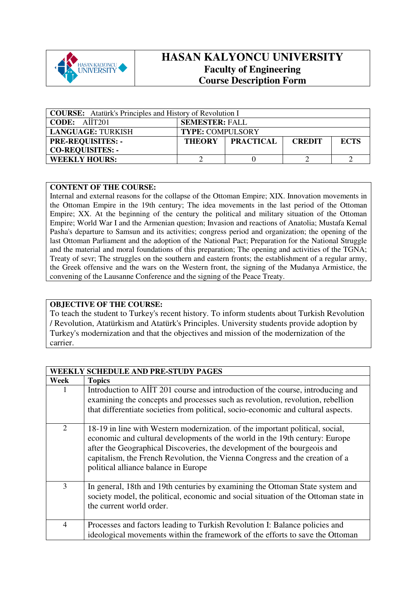

## **HASAN KALYONCU UNIVERSITY Faculty of Engineering Course Description Form**

| <b>COURSE:</b> Atatürk's Principles and History of Revolution I |                                                  |  |  |  |  |
|-----------------------------------------------------------------|--------------------------------------------------|--|--|--|--|
| $\vert$ CODE: AIIT201                                           | <b>SEMESTER: FALL</b>                            |  |  |  |  |
| <b>LANGUAGE: TURKISH</b>                                        | <b>TYPE: COMPULSORY</b>                          |  |  |  |  |
| <b>PRE-REQUISITES: -</b>                                        | THEORY PRACTICAL<br><b>ECTS</b><br><b>CREDIT</b> |  |  |  |  |
| <b>CO-REQUISITES: -</b>                                         |                                                  |  |  |  |  |
| <b>WEEKLY HOURS:</b>                                            |                                                  |  |  |  |  |

## **CONTENT OF THE COURSE:**

Internal and external reasons for the collapse of the Ottoman Empire; XIX. Innovation movements in the Ottoman Empire in the 19th century; The idea movements in the last period of the Ottoman Empire; XX. At the beginning of the century the political and military situation of the Ottoman Empire; World War I and the Armenian question; Invasion and reactions of Anatolia; Mustafa Kemal Pasha's departure to Samsun and its activities; congress period and organization; the opening of the last Ottoman Parliament and the adoption of the National Pact; Preparation for the National Struggle and the material and moral foundations of this preparation; The opening and activities of the TGNA; Treaty of sevr; The struggles on the southern and eastern fronts; the establishment of a regular army, the Greek offensive and the wars on the Western front, the signing of the Mudanya Armistice, the convening of the Lausanne Conference and the signing of the Peace Treaty.

## **OBJECTIVE OF THE COURSE:**

To teach the student to Turkey's recent history. To inform students about Turkish Revolution / Revolution, Atatürkism and Atatürk's Principles. University students provide adoption by Turkey's modernization and that the objectives and mission of the modernization of the carrier.

|      | WEEKLY SCHEDULE AND PRE-STUDY PAGES                                                                                                                                                                                                                                                                                                                              |
|------|------------------------------------------------------------------------------------------------------------------------------------------------------------------------------------------------------------------------------------------------------------------------------------------------------------------------------------------------------------------|
| Week | <b>Topics</b>                                                                                                                                                                                                                                                                                                                                                    |
| 1    | Introduction to AIIT 201 course and introduction of the course, introducing and<br>examining the concepts and processes such as revolution, revolution, rebellion<br>that differentiate societies from political, socio-economic and cultural aspects.                                                                                                           |
| 2    | 18-19 in line with Western modernization, of the important political, social,<br>economic and cultural developments of the world in the 19th century: Europe<br>after the Geographical Discoveries, the development of the bourgeois and<br>capitalism, the French Revolution, the Vienna Congress and the creation of a<br>political alliance balance in Europe |
| 3    | In general, 18th and 19th centuries by examining the Ottoman State system and<br>society model, the political, economic and social situation of the Ottoman state in<br>the current world order.                                                                                                                                                                 |
| 4    | Processes and factors leading to Turkish Revolution I: Balance policies and<br>ideological movements within the framework of the efforts to save the Ottoman                                                                                                                                                                                                     |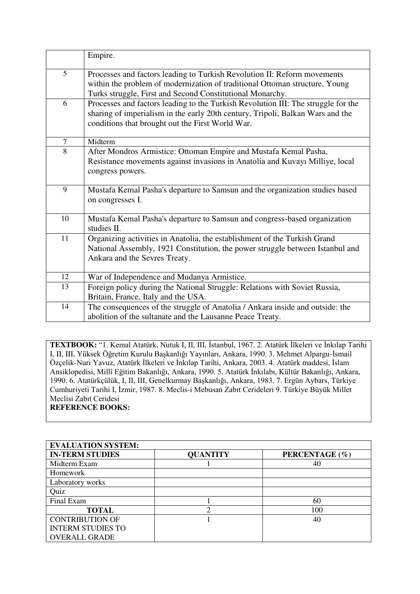|        | Empire.                                                                                                                                                                                                                 |
|--------|-------------------------------------------------------------------------------------------------------------------------------------------------------------------------------------------------------------------------|
| 5      | Processes and factors leading to Turkish Revolution II: Reform movements<br>within the problem of modernization of traditional Ottoman structure, Young<br>Turks struggle, First and Second Constitutional Monarchy.    |
| 6      | Processes and factors leading to the Turkish Revolution III: The struggle for the<br>sharing of imperialism in the early 20th century, Tripoli, Balkan Wars and the<br>conditions that brought out the First World War. |
| $\tau$ | Midterm                                                                                                                                                                                                                 |
| 8      | After Mondros Armistice: Ottoman Empire and Mustafa Kemal Pasha,<br>Resistance movements against invasions in Anatolia and Kuvayı Milliye, local<br>congress powers.                                                    |
| 9      | Mustafa Kemal Pasha's departure to Samsun and the organization studies based<br>on congresses I.                                                                                                                        |
| 10     | Mustafa Kemal Pasha's departure to Samsun and congress-based organization<br>studies II.                                                                                                                                |
| 11     | Organizing activities in Anatolia, the establishment of the Turkish Grand<br>National Assembly, 1921 Constitution, the power struggle between Istanbul and<br>Ankara and the Sevres Treaty.                             |
| 12     | War of Independence and Mudanya Armistice.                                                                                                                                                                              |
| 13     | Foreign policy during the National Struggle: Relations with Soviet Russia,<br>Britain, France, Italy and the USA.                                                                                                       |
| 14     | The consequences of the struggle of Anatolia / Ankara inside and outside: the<br>abolition of the sultanate and the Lausanne Peace Treaty.                                                                              |

**TEXTBOOK:** "1. Kemal Atatürk, Nutuk I, II, III, İstanbul, 1967. 2. Atatürk İlkeleri ve İnkılap Tarihi I, II, III, Yüksek Öğretim Kurulu Başkanlığı Yayınları, Ankara, 1990. 3. Mehmet Alpargu-İsmail Özçelik-Nuri Yavuz, Atatürk İlkeleri ve İnkılap Tarihi, Ankara, 2003. 4. Atatürk maddesi, İslam Ansiklopedisi, Millî Eğitim Bakanlığı, Ankara, 1990. 5. Atatürk İnkılabı, Kültür Bakanlığı, Ankara, 1990. 6. Atatürkçülük, I, II, III, Genelkurmay Başkanlığı, Ankara, 1983. 7. Ergün Aybars, Türkiye Cumhuriyeti Tarihi I, İzmir, 1987. 8. Meclis-i Mebusan Zabıt Cerideleri 9. Türkiye Büyük Millet Meclisi Zabıt Ceridesi **REFERENCE BOOKS:** 

| L INEFENENCE DUUIND. |  |
|----------------------|--|
|                      |  |
|                      |  |

| <b>EVALUATION SYSTEM:</b> |                 |                |
|---------------------------|-----------------|----------------|
| <b>IN-TERM STUDIES</b>    | <b>QUANTITY</b> | PERCENTAGE (%) |
| Midterm Exam              |                 | 40             |
| Homework                  |                 |                |
| Laboratory works          |                 |                |
| Quiz                      |                 |                |
| Final Exam                |                 | 60             |
| <b>TOTAL</b>              |                 | 100            |
| <b>CONTRIBUTION OF</b>    |                 | 40             |
| <b>INTERM STUDIES TO</b>  |                 |                |
| <b>OVERALL GRADE</b>      |                 |                |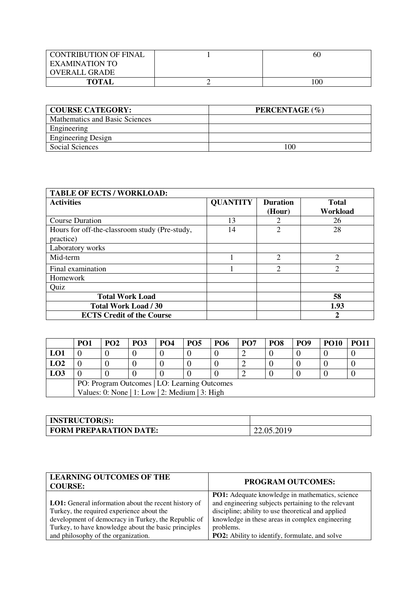| <b>CONTRIBUTION OF FINAL</b> | 60  |
|------------------------------|-----|
| EXAMINATION TO               |     |
| OVERALL GRADE                |     |
| <b>TOTAL</b>                 | 100 |

| <b>COURSE CATEGORY:</b>        | PERCENTAGE (%) |
|--------------------------------|----------------|
| Mathematics and Basic Sciences |                |
| Engineering                    |                |
| <b>Engineering Design</b>      |                |
| <b>Social Sciences</b>         | 100            |

| <b>TABLE OF ECTS / WORKLOAD:</b>                           |                 |                           |                          |  |  |
|------------------------------------------------------------|-----------------|---------------------------|--------------------------|--|--|
| <b>Activities</b>                                          | <b>QUANTITY</b> | <b>Duration</b><br>(Hour) | <b>Total</b><br>Workload |  |  |
| <b>Course Duration</b>                                     | 13              | 2                         | 26                       |  |  |
| Hours for off-the-classroom study (Pre-study,<br>practice) | 14              | $\overline{2}$            | 28                       |  |  |
| Laboratory works                                           |                 |                           |                          |  |  |
| Mid-term                                                   |                 | $\overline{2}$            | $\overline{2}$           |  |  |
| Final examination                                          |                 | $\mathcal{D}$             | $\overline{2}$           |  |  |
| <b>Homework</b>                                            |                 |                           |                          |  |  |
| Quiz                                                       |                 |                           |                          |  |  |
| <b>Total Work Load</b>                                     |                 |                           | 58                       |  |  |
| <b>Total Work Load / 30</b>                                |                 |                           | 1.93                     |  |  |
| <b>ECTS Credit of the Course</b>                           |                 |                           | 2                        |  |  |

|                                                | PO <sub>1</sub> | <b>PO2</b> | <b>PO3</b> | PO <sub>4</sub> | PO <sub>5</sub> | <b>PO6</b> | PO <sub>7</sub> | PO <sub>8</sub> | PO <sub>9</sub> | <b>PO10</b> | <b>PO11</b> |
|------------------------------------------------|-----------------|------------|------------|-----------------|-----------------|------------|-----------------|-----------------|-----------------|-------------|-------------|
| LO1                                            |                 |            |            |                 |                 |            |                 |                 |                 |             |             |
| LO2                                            |                 |            |            |                 |                 |            |                 |                 |                 |             |             |
| <b>LO3</b>                                     |                 |            |            |                 |                 |            |                 |                 |                 |             |             |
| PO: Program Outcomes   LO: Learning Outcomes   |                 |            |            |                 |                 |            |                 |                 |                 |             |             |
| Values: 0: None   1: Low   2: Medium   3: High |                 |            |            |                 |                 |            |                 |                 |                 |             |             |

| <b>INSTRUCTOR(S):</b>         |            |
|-------------------------------|------------|
| <b>FORM PREPARATION DATE:</b> | 22.05.2019 |

| <b>LEARNING OUTCOMES OF THE</b><br><b>COURSE:</b>           | <b>PROGRAM OUTCOMES:</b>                               |
|-------------------------------------------------------------|--------------------------------------------------------|
|                                                             | <b>PO1:</b> Adequate knowledge in mathematics, science |
| <b>LO1:</b> General information about the recent history of | and engineering subjects pertaining to the relevant    |
| Turkey, the required experience about the                   | discipline; ability to use theoretical and applied     |
| development of democracy in Turkey, the Republic of         | knowledge in these areas in complex engineering        |
| Turkey, to have knowledge about the basic principles        | problems.                                              |
| and philosophy of the organization.                         | PO2: Ability to identify, formulate, and solve         |